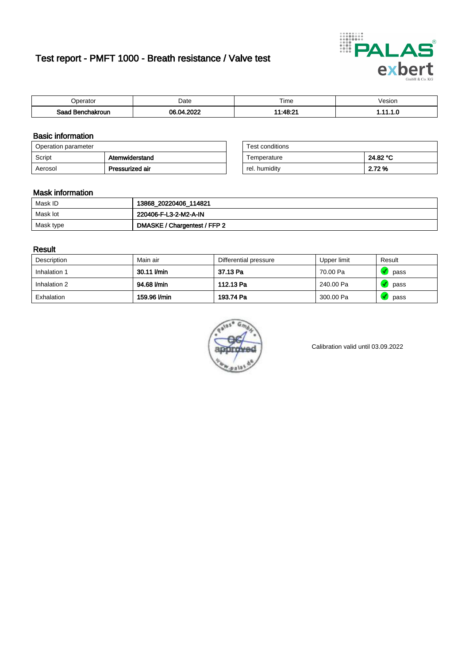# Test report - PMFT 1000 - Breath resistance / Valve test



| )perator               | Date              | $- \cdot$<br>Гіmе | esion |
|------------------------|-------------------|-------------------|-------|
| המס<br>hakroun<br>32 H | 0000<br>Ω۸<br>uz. | 44.19.2'<br>---   | .     |

### Basic information

| Operation parameter |                 | Test conditions |          |
|---------------------|-----------------|-----------------|----------|
| Script              | Atemwiderstand  | Temperature     | 24.82 °C |
| Aerosol             | Pressurized air | rel. humidity   | 2.72 %   |

| Test conditions |          |
|-----------------|----------|
| Temperature     | 24.82 °C |
| rel. humidity   | 2.72 %   |

#### Mask information

| Mask ID   | 13868_20220406_114821        |
|-----------|------------------------------|
| Mask lot  | 220406-F-L3-2-M2-A-IN        |
| Mask type | DMASKE / Chargentest / FFP 2 |

### Result

| Description  | Main air     | Differential pressure | Upper limit | Result |
|--------------|--------------|-----------------------|-------------|--------|
| Inhalation 1 | 30.11 l/min  | 37.13 Pa              | 70.00 Pa    | pass   |
| Inhalation 2 | 94.68 l/min  | 112.13 Pa             | 240.00 Pa   | pass   |
| Exhalation   | 159.96 l/min | 193.74 Pa             | 300.00 Pa   | pass   |



Calibration valid until 03.09.2022